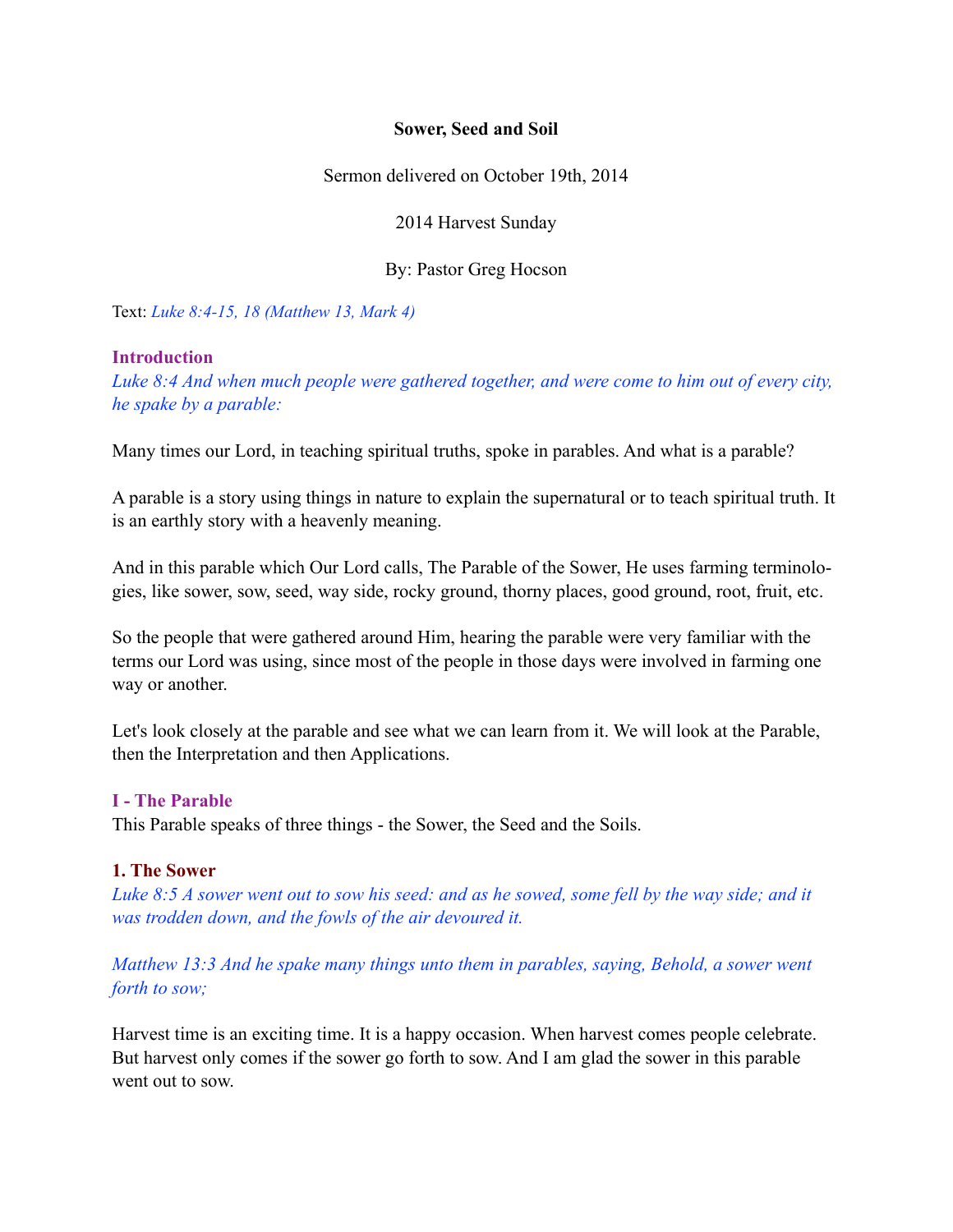## **Sower, Seed and Soil**

Sermon delivered on October 19th, 2014

2014 Harvest Sunday

By: Pastor Greg Hocson

Text: *Luke 8:4-15, 18 (Matthew 13, Mark 4)* 

## **Introduction**

*Luke 8:4 And when much people were gathered together, and were come to him out of every city, he spake by a parable:*

Many times our Lord, in teaching spiritual truths, spoke in parables. And what is a parable?

A parable is a story using things in nature to explain the supernatural or to teach spiritual truth. It is an earthly story with a heavenly meaning.

And in this parable which Our Lord calls, The Parable of the Sower, He uses farming terminologies, like sower, sow, seed, way side, rocky ground, thorny places, good ground, root, fruit, etc.

So the people that were gathered around Him, hearing the parable were very familiar with the terms our Lord was using, since most of the people in those days were involved in farming one way or another.

Let's look closely at the parable and see what we can learn from it. We will look at the Parable, then the Interpretation and then Applications.

## **I - The Parable**

This Parable speaks of three things - the Sower, the Seed and the Soils.

## **1. The Sower**

*Luke 8:5 A sower went out to sow his seed: and as he sowed, some fell by the way side; and it was trodden down, and the fowls of the air devoured it.*

*Matthew 13:3 And he spake many things unto them in parables, saying, Behold, a sower went forth to sow;* 

Harvest time is an exciting time. It is a happy occasion. When harvest comes people celebrate. But harvest only comes if the sower go forth to sow. And I am glad the sower in this parable went out to sow.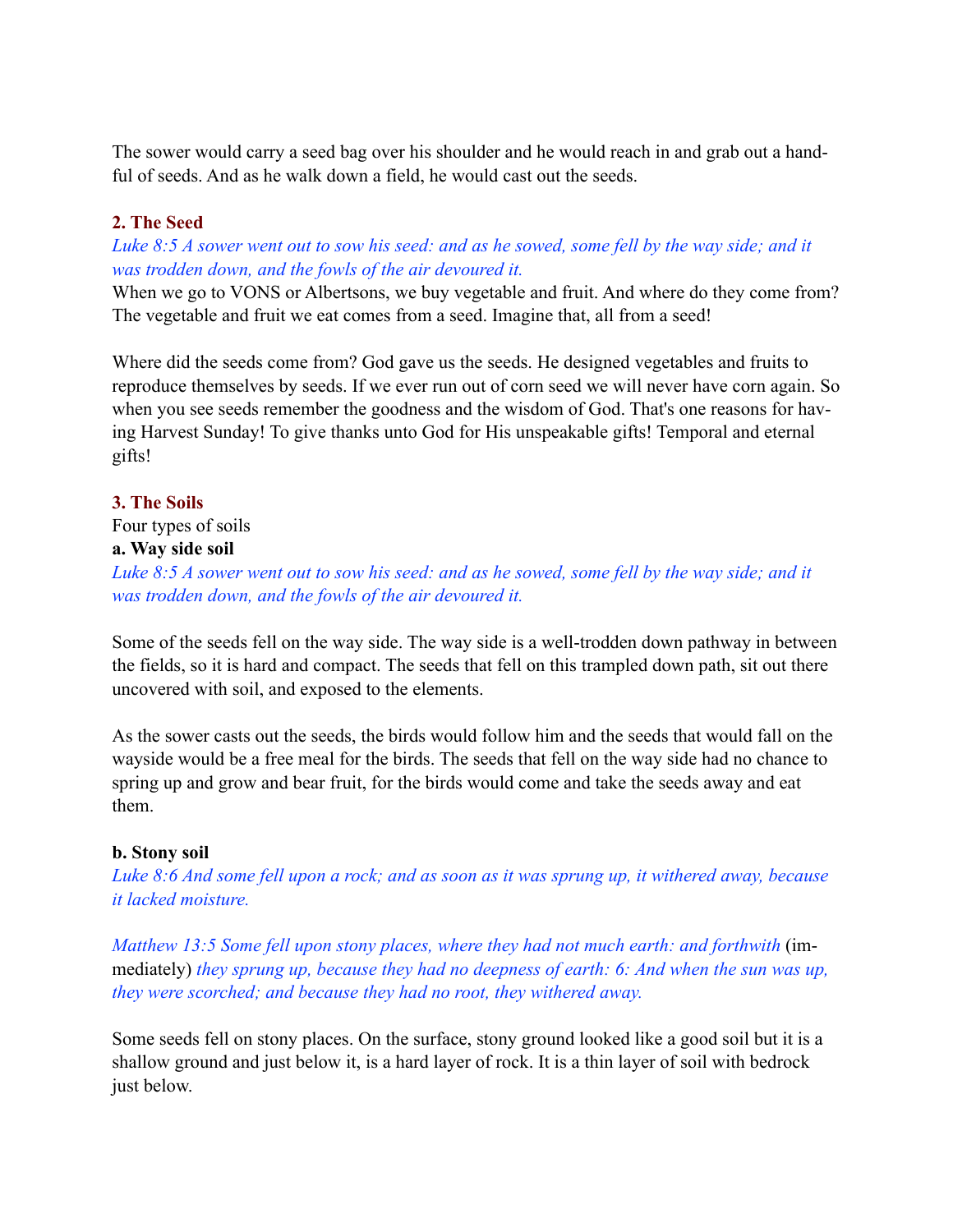The sower would carry a seed bag over his shoulder and he would reach in and grab out a handful of seeds. And as he walk down a field, he would cast out the seeds.

## **2. The Seed**

*Luke 8:5 A sower went out to sow his seed: and as he sowed, some fell by the way side; and it was trodden down, and the fowls of the air devoured it.*

When we go to VONS or Albertsons, we buy vegetable and fruit. And where do they come from? The vegetable and fruit we eat comes from a seed. Imagine that, all from a seed!

Where did the seeds come from? God gave us the seeds. He designed vegetables and fruits to reproduce themselves by seeds. If we ever run out of corn seed we will never have corn again. So when you see seeds remember the goodness and the wisdom of God. That's one reasons for having Harvest Sunday! To give thanks unto God for His unspeakable gifts! Temporal and eternal gifts!

## **3. The Soils**

Four types of soils **a. Way side soil** 

*Luke 8:5 A sower went out to sow his seed: and as he sowed, some fell by the way side; and it was trodden down, and the fowls of the air devoured it.* 

Some of the seeds fell on the way side. The way side is a well-trodden down pathway in between the fields, so it is hard and compact. The seeds that fell on this trampled down path, sit out there uncovered with soil, and exposed to the elements.

As the sower casts out the seeds, the birds would follow him and the seeds that would fall on the wayside would be a free meal for the birds. The seeds that fell on the way side had no chance to spring up and grow and bear fruit, for the birds would come and take the seeds away and eat them.

## **b. Stony soil**

*Luke 8:6 And some fell upon a rock; and as soon as it was sprung up, it withered away, because it lacked moisture.*

*Matthew 13:5 Some fell upon stony places, where they had not much earth: and forthwith* (immediately) *they sprung up, because they had no deepness of earth: 6: And when the sun was up, they were scorched; and because they had no root, they withered away.* 

Some seeds fell on stony places. On the surface, stony ground looked like a good soil but it is a shallow ground and just below it, is a hard layer of rock. It is a thin layer of soil with bedrock just below.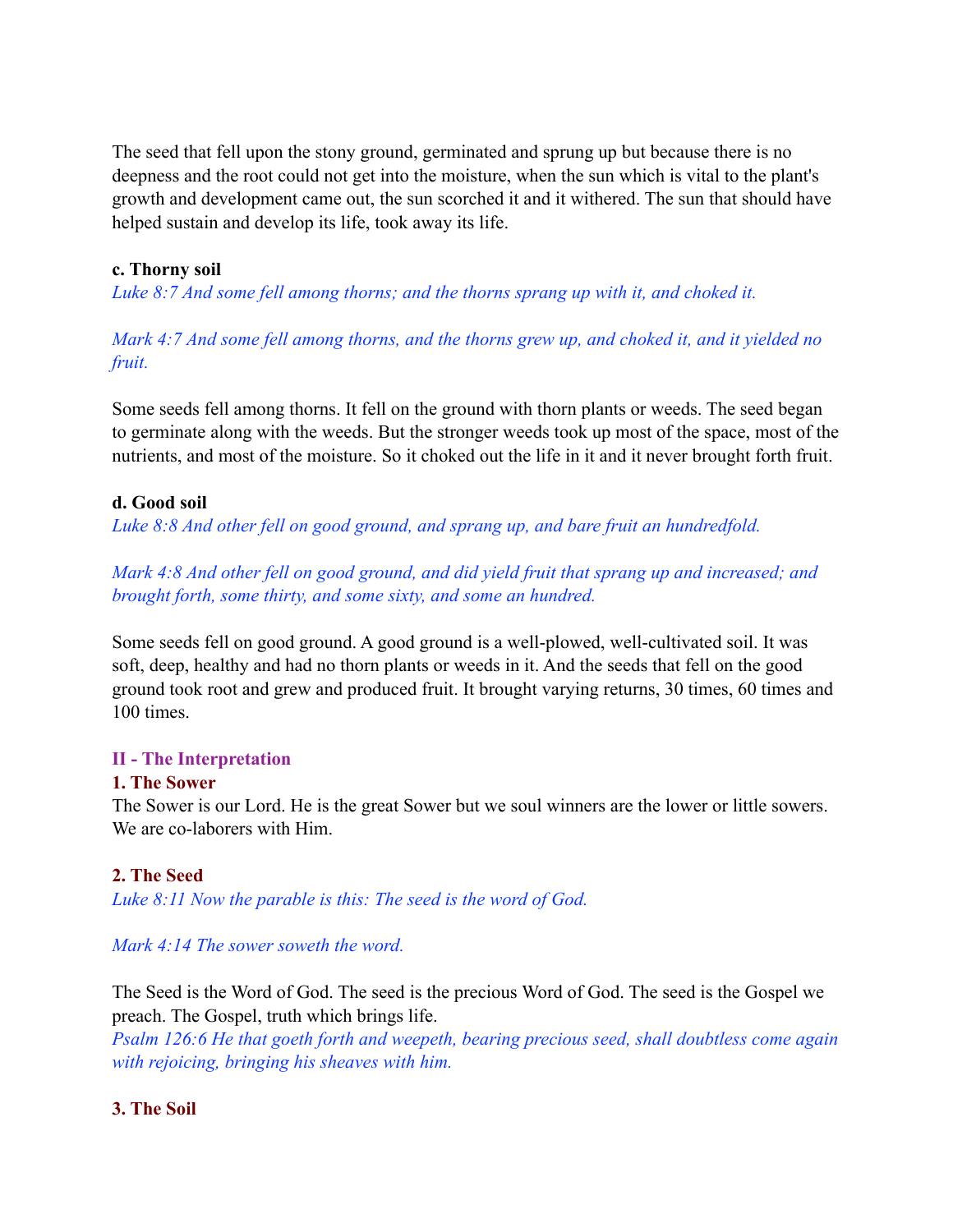The seed that fell upon the stony ground, germinated and sprung up but because there is no deepness and the root could not get into the moisture, when the sun which is vital to the plant's growth and development came out, the sun scorched it and it withered. The sun that should have helped sustain and develop its life, took away its life.

# **c. Thorny soil**

*Luke 8:7 And some fell among thorns; and the thorns sprang up with it, and choked it.* 

*Mark 4:7 And some fell among thorns, and the thorns grew up, and choked it, and it yielded no fruit.*

Some seeds fell among thorns. It fell on the ground with thorn plants or weeds. The seed began to germinate along with the weeds. But the stronger weeds took up most of the space, most of the nutrients, and most of the moisture. So it choked out the life in it and it never brought forth fruit.

# **d. Good soil**

*Luke 8:8 And other fell on good ground, and sprang up, and bare fruit an hundredfold.* 

*Mark 4:8 And other fell on good ground, and did yield fruit that sprang up and increased; and brought forth, some thirty, and some sixty, and some an hundred.* 

Some seeds fell on good ground. A good ground is a well-plowed, well-cultivated soil. It was soft, deep, healthy and had no thorn plants or weeds in it. And the seeds that fell on the good ground took root and grew and produced fruit. It brought varying returns, 30 times, 60 times and 100 times.

# **II - The Interpretation**

# **1. The Sower**

The Sower is our Lord. He is the great Sower but we soul winners are the lower or little sowers. We are co-laborers with Him.

# **2. The Seed**

*Luke 8:11 Now the parable is this: The seed is the word of God.*

# *Mark 4:14 The sower soweth the word.*

The Seed is the Word of God. The seed is the precious Word of God. The seed is the Gospel we preach. The Gospel, truth which brings life.

*Psalm 126:6 He that goeth forth and weepeth, bearing precious seed, shall doubtless come again with rejoicing, bringing his sheaves with him.* 

# **3. The Soil**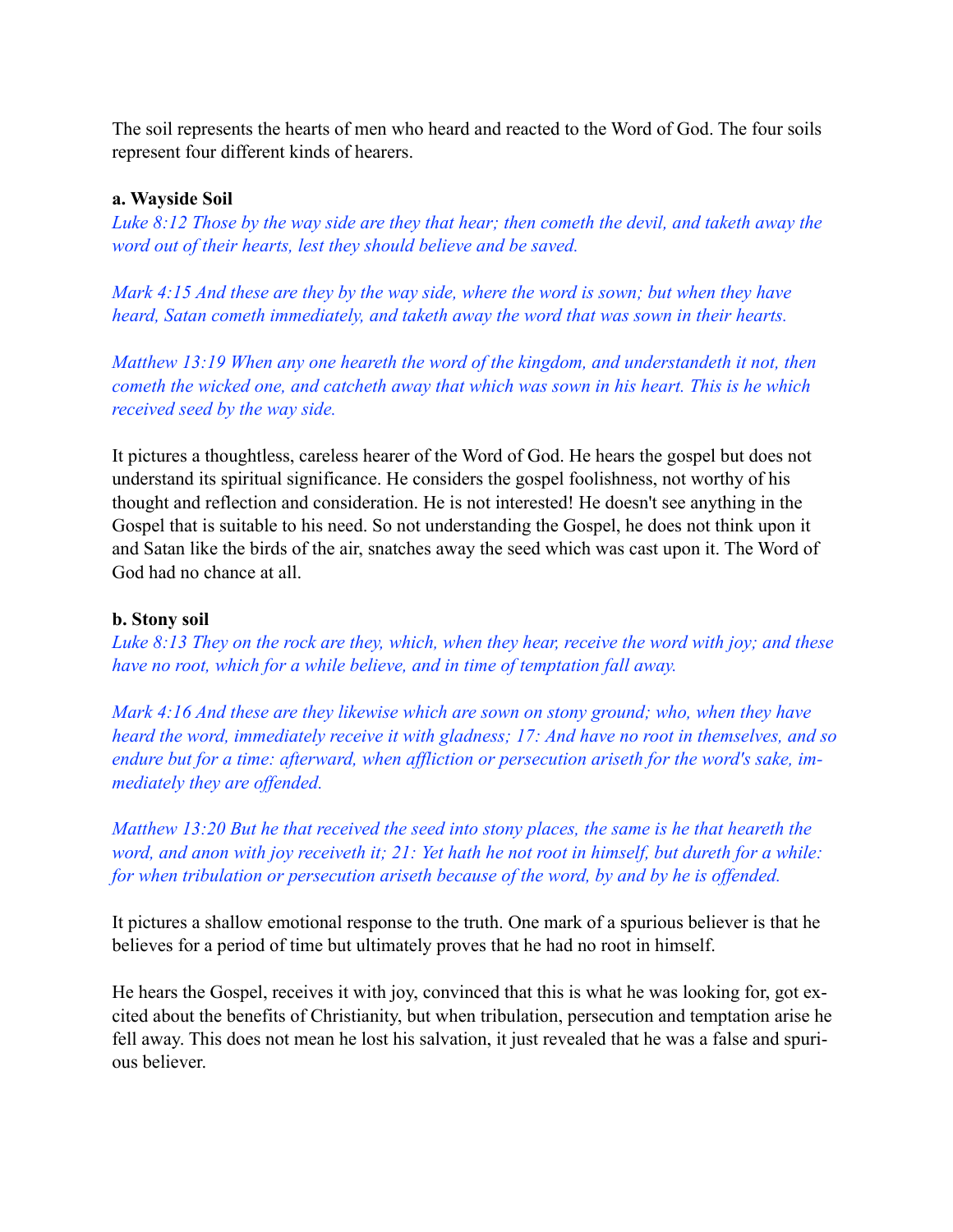The soil represents the hearts of men who heard and reacted to the Word of God. The four soils represent four different kinds of hearers.

## **a. Wayside Soil**

*Luke 8:12 Those by the way side are they that hear; then cometh the devil, and taketh away the word out of their hearts, lest they should believe and be saved.* 

*Mark 4:15 And these are they by the way side, where the word is sown; but when they have heard, Satan cometh immediately, and taketh away the word that was sown in their hearts.*

*Matthew 13:19 When any one heareth the word of the kingdom, and understandeth it not, then cometh the wicked one, and catcheth away that which was sown in his heart. This is he which received seed by the way side.*

It pictures a thoughtless, careless hearer of the Word of God. He hears the gospel but does not understand its spiritual significance. He considers the gospel foolishness, not worthy of his thought and reflection and consideration. He is not interested! He doesn't see anything in the Gospel that is suitable to his need. So not understanding the Gospel, he does not think upon it and Satan like the birds of the air, snatches away the seed which was cast upon it. The Word of God had no chance at all.

## **b. Stony soil**

*Luke 8:13 They on the rock are they, which, when they hear, receive the word with joy; and these have no root, which for a while believe, and in time of temptation fall away.* 

*Mark 4:16 And these are they likewise which are sown on stony ground; who, when they have heard the word, immediately receive it with gladness; 17: And have no root in themselves, and so endure but for a time: afterward, when affliction or persecution ariseth for the word's sake, immediately they are offended.*

*Matthew 13:20 But he that received the seed into stony places, the same is he that heareth the word, and anon with joy receiveth it; 21: Yet hath he not root in himself, but dureth for a while: for when tribulation or persecution ariseth because of the word, by and by he is offended.* 

It pictures a shallow emotional response to the truth. One mark of a spurious believer is that he believes for a period of time but ultimately proves that he had no root in himself.

He hears the Gospel, receives it with joy, convinced that this is what he was looking for, got excited about the benefits of Christianity, but when tribulation, persecution and temptation arise he fell away. This does not mean he lost his salvation, it just revealed that he was a false and spurious believer.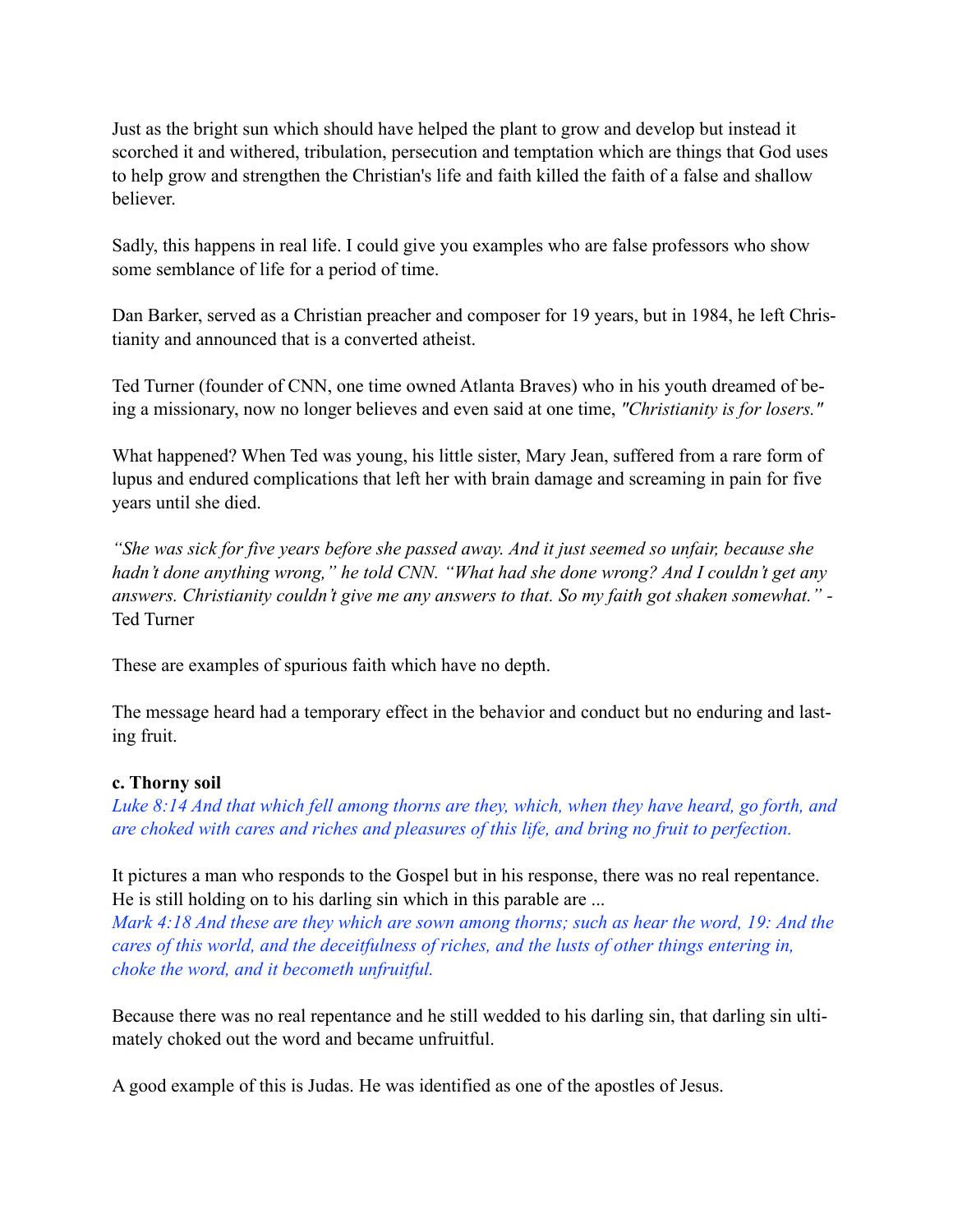Just as the bright sun which should have helped the plant to grow and develop but instead it scorched it and withered, tribulation, persecution and temptation which are things that God uses to help grow and strengthen the Christian's life and faith killed the faith of a false and shallow believer.

Sadly, this happens in real life. I could give you examples who are false professors who show some semblance of life for a period of time.

Dan Barker, served as a Christian preacher and composer for 19 years, but in 1984, he left Christianity and announced that is a converted atheist.

Ted Turner (founder of CNN, one time owned Atlanta Braves) who in his youth dreamed of being a missionary, now no longer believes and even said at one time, *"Christianity is for losers."*

What happened? When Ted was young, his little sister, Mary Jean, suffered from a rare form of lupus and endured complications that left her with brain damage and screaming in pain for five years until she died.

*"She was sick for five years before she passed away. And it just seemed so unfair, because she hadn't done anything wrong," he told CNN. "What had she done wrong? And I couldn't get any answers. Christianity couldn't give me any answers to that. So my faith got shaken somewhat." -*  Ted Turner

These are examples of spurious faith which have no depth.

The message heard had a temporary effect in the behavior and conduct but no enduring and lasting fruit.

## **c. Thorny soil**

*Luke 8:14 And that which fell among thorns are they, which, when they have heard, go forth, and are choked with cares and riches and pleasures of this life, and bring no fruit to perfection.* 

It pictures a man who responds to the Gospel but in his response, there was no real repentance. He is still holding on to his darling sin which in this parable are ...

*Mark 4:18 And these are they which are sown among thorns; such as hear the word, 19: And the cares of this world, and the deceitfulness of riches, and the lusts of other things entering in, choke the word, and it becometh unfruitful.*

Because there was no real repentance and he still wedded to his darling sin, that darling sin ultimately choked out the word and became unfruitful.

A good example of this is Judas. He was identified as one of the apostles of Jesus.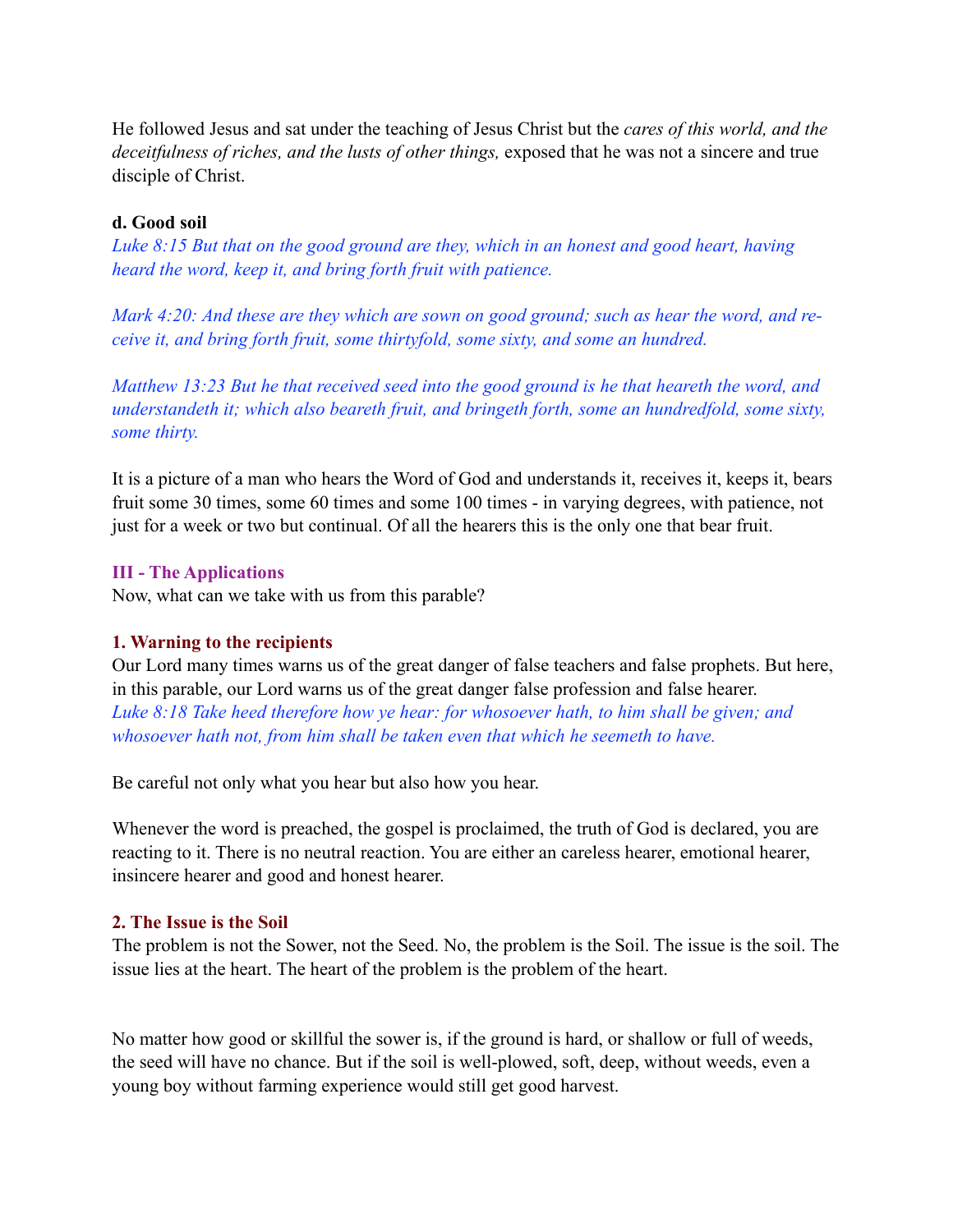He followed Jesus and sat under the teaching of Jesus Christ but the *cares of this world, and the deceitfulness of riches, and the lusts of other things,* exposed that he was not a sincere and true disciple of Christ.

## **d. Good soil**

*Luke 8:15 But that on the good ground are they, which in an honest and good heart, having heard the word, keep it, and bring forth fruit with patience.* 

*Mark 4:20: And these are they which are sown on good ground; such as hear the word, and receive it, and bring forth fruit, some thirtyfold, some sixty, and some an hundred.* 

*Matthew 13:23 But he that received seed into the good ground is he that heareth the word, and understandeth it; which also beareth fruit, and bringeth forth, some an hundredfold, some sixty, some thirty.*

It is a picture of a man who hears the Word of God and understands it, receives it, keeps it, bears fruit some 30 times, some 60 times and some 100 times - in varying degrees, with patience, not just for a week or two but continual. Of all the hearers this is the only one that bear fruit.

## **III - The Applications**

Now, what can we take with us from this parable?

## **1. Warning to the recipients**

Our Lord many times warns us of the great danger of false teachers and false prophets. But here, in this parable, our Lord warns us of the great danger false profession and false hearer. *Luke 8:18 Take heed therefore how ye hear: for whosoever hath, to him shall be given; and whosoever hath not, from him shall be taken even that which he seemeth to have.*

Be careful not only what you hear but also how you hear.

Whenever the word is preached, the gospel is proclaimed, the truth of God is declared, you are reacting to it. There is no neutral reaction. You are either an careless hearer, emotional hearer, insincere hearer and good and honest hearer.

## **2. The Issue is the Soil**

The problem is not the Sower, not the Seed. No, the problem is the Soil. The issue is the soil. The issue lies at the heart. The heart of the problem is the problem of the heart.

No matter how good or skillful the sower is, if the ground is hard, or shallow or full of weeds, the seed will have no chance. But if the soil is well-plowed, soft, deep, without weeds, even a young boy without farming experience would still get good harvest.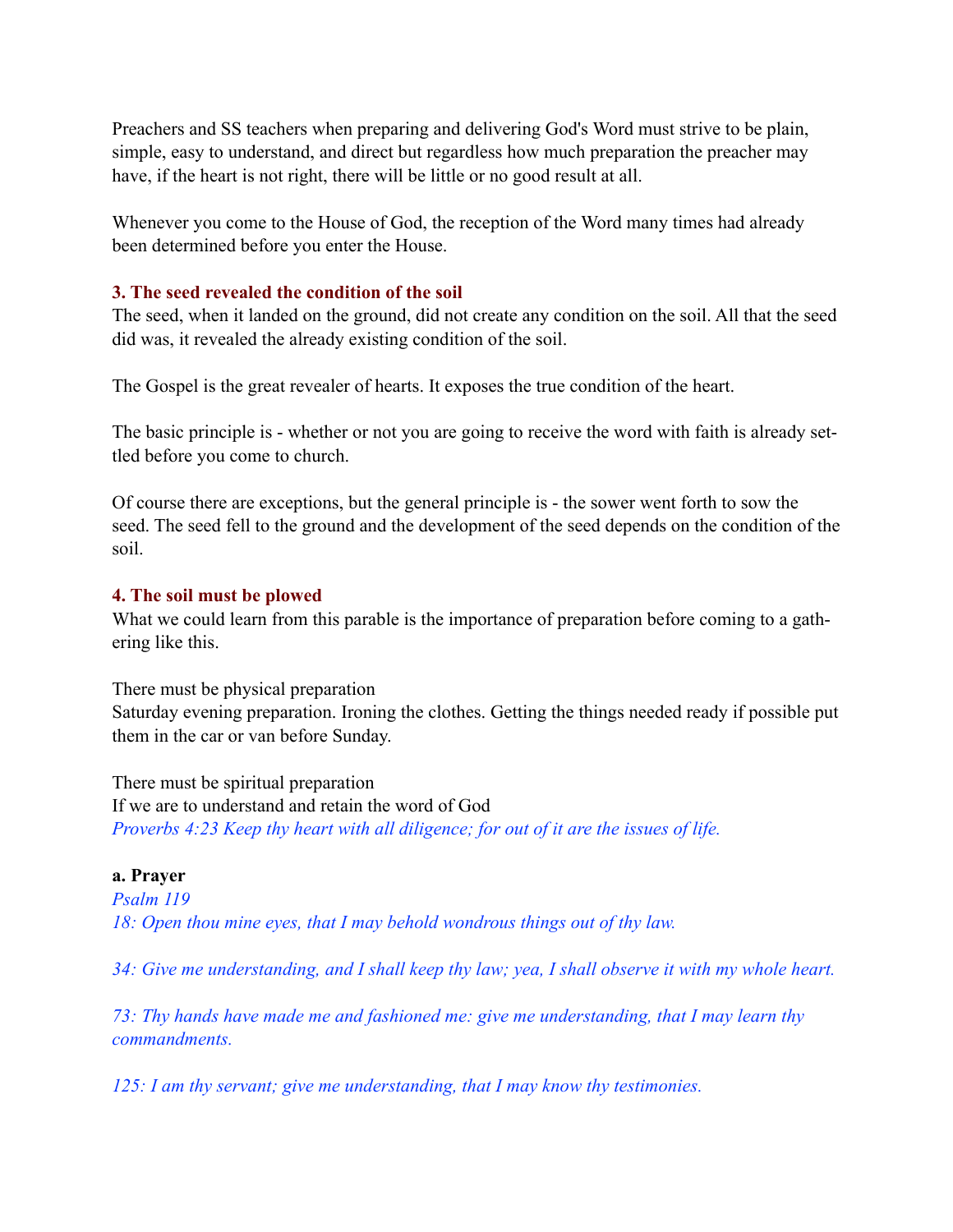Preachers and SS teachers when preparing and delivering God's Word must strive to be plain, simple, easy to understand, and direct but regardless how much preparation the preacher may have, if the heart is not right, there will be little or no good result at all.

Whenever you come to the House of God, the reception of the Word many times had already been determined before you enter the House.

## **3. The seed revealed the condition of the soil**

The seed, when it landed on the ground, did not create any condition on the soil. All that the seed did was, it revealed the already existing condition of the soil.

The Gospel is the great revealer of hearts. It exposes the true condition of the heart.

The basic principle is - whether or not you are going to receive the word with faith is already settled before you come to church.

Of course there are exceptions, but the general principle is - the sower went forth to sow the seed. The seed fell to the ground and the development of the seed depends on the condition of the soil.

## **4. The soil must be plowed**

What we could learn from this parable is the importance of preparation before coming to a gathering like this.

There must be physical preparation Saturday evening preparation. Ironing the clothes. Getting the things needed ready if possible put them in the car or van before Sunday.

There must be spiritual preparation If we are to understand and retain the word of God *Proverbs 4:23 Keep thy heart with all diligence; for out of it are the issues of life.*

# **a. Prayer**

*Psalm 119 18: Open thou mine eyes, that I may behold wondrous things out of thy law.*

*34: Give me understanding, and I shall keep thy law; yea, I shall observe it with my whole heart.*

*73: Thy hands have made me and fashioned me: give me understanding, that I may learn thy commandments.*

*125: I am thy servant; give me understanding, that I may know thy testimonies.*